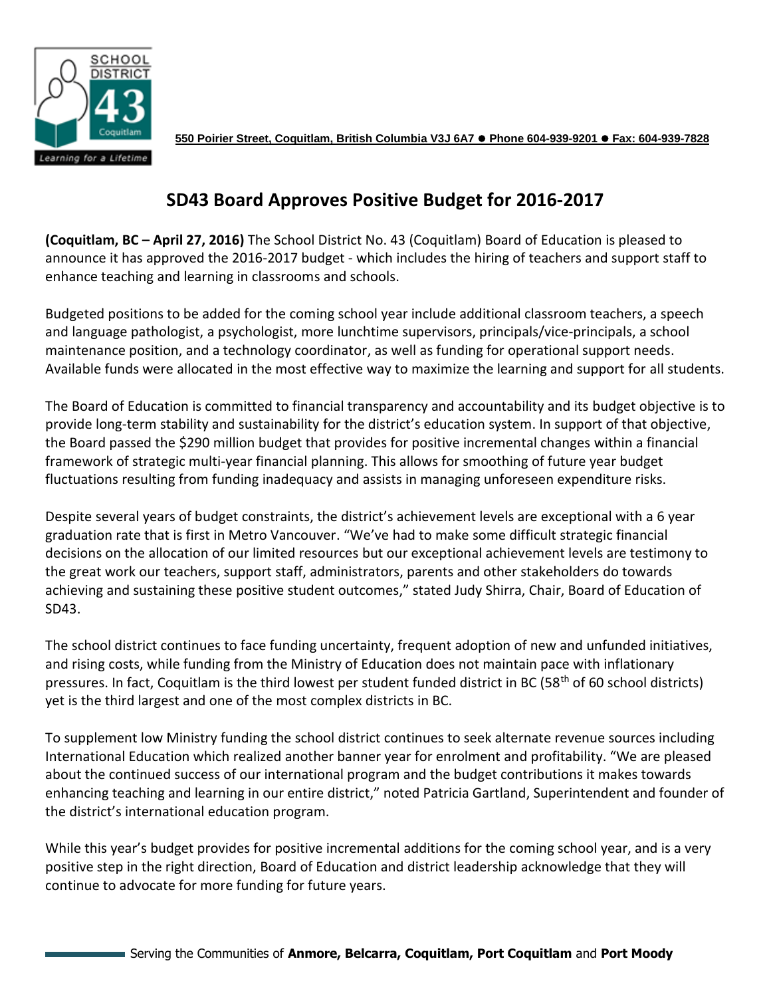

**550 Poirier Street, Coquitlam, British Columbia V3J 6A7 Phone 604-939-9201 Fax: 604-939-7828**

## **SD43 Board Approves Positive Budget for 2016-2017**

**(Coquitlam, BC – April 27, 2016)** The School District No. 43 (Coquitlam) Board of Education is pleased to announce it has approved the 2016-2017 budget - which includes the hiring of teachers and support staff to enhance teaching and learning in classrooms and schools.

Budgeted positions to be added for the coming school year include additional classroom teachers, a speech and language pathologist, a psychologist, more lunchtime supervisors, principals/vice-principals, a school maintenance position, and a technology coordinator, as well as funding for operational support needs. Available funds were allocated in the most effective way to maximize the learning and support for all students.

The Board of Education is committed to financial transparency and accountability and its budget objective is to provide long-term stability and sustainability for the district's education system. In support of that objective, the Board passed the \$290 million budget that provides for positive incremental changes within a financial framework of strategic multi-year financial planning. This allows for smoothing of future year budget fluctuations resulting from funding inadequacy and assists in managing unforeseen expenditure risks.

Despite several years of budget constraints, the district's achievement levels are exceptional with a 6 year graduation rate that is first in Metro Vancouver. "We've had to make some difficult strategic financial decisions on the allocation of our limited resources but our exceptional achievement levels are testimony to the great work our teachers, support staff, administrators, parents and other stakeholders do towards achieving and sustaining these positive student outcomes," stated Judy Shirra, Chair, Board of Education of SD43.

The school district continues to face funding uncertainty, frequent adoption of new and unfunded initiatives, and rising costs, while funding from the Ministry of Education does not maintain pace with inflationary pressures. In fact, Coquitlam is the third lowest per student funded district in BC (58<sup>th</sup> of 60 school districts) yet is the third largest and one of the most complex districts in BC.

To supplement low Ministry funding the school district continues to seek alternate revenue sources including International Education which realized another banner year for enrolment and profitability. "We are pleased about the continued success of our international program and the budget contributions it makes towards enhancing teaching and learning in our entire district," noted Patricia Gartland, Superintendent and founder of the district's international education program.

While this year's budget provides for positive incremental additions for the coming school year, and is a very positive step in the right direction, Board of Education and district leadership acknowledge that they will continue to advocate for more funding for future years.